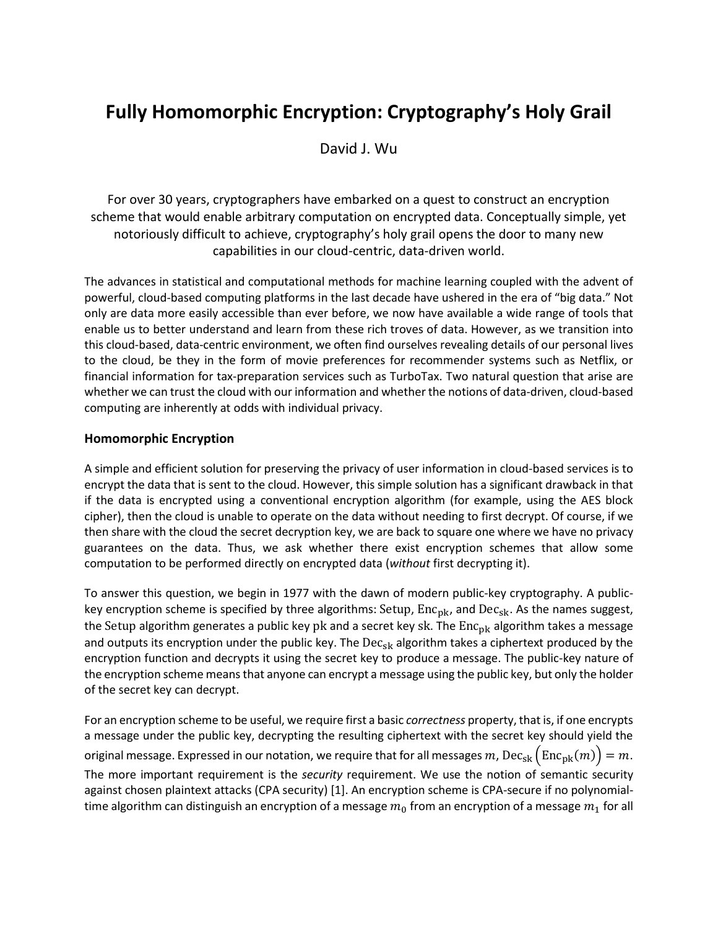# **Fully Homomorphic Encryption: Cryptography's Holy Grail**

David J. Wu

For over 30 years, cryptographers have embarked on a quest to construct an encryption scheme that would enable arbitrary computation on encrypted data. Conceptually simple, yet notoriously difficult to achieve, cryptography's holy grail opens the door to many new capabilities in our cloud-centric, data-driven world.

The advances in statistical and computational methods for machine learning coupled with the advent of powerful, cloud-based computing platforms in the last decade have ushered in the era of "big data." Not only are data more easily accessible than ever before, we now have available a wide range of tools that enable us to better understand and learn from these rich troves of data. However, as we transition into this cloud-based, data-centric environment, we often find ourselves revealing details of our personal lives to the cloud, be they in the form of movie preferences for recommender systems such as Netflix, or financial information for tax-preparation services such as TurboTax. Two natural question that arise are whether we can trust the cloud with our information and whether the notions of data-driven, cloud-based computing are inherently at odds with individual privacy.

# **Homomorphic Encryption**

A simple and efficient solution for preserving the privacy of user information in cloud-based services is to encrypt the data that is sent to the cloud. However, this simple solution has a significant drawback in that if the data is encrypted using a conventional encryption algorithm (for example, using the AES block cipher), then the cloud is unable to operate on the data without needing to first decrypt. Of course, if we then share with the cloud the secret decryption key, we are back to square one where we have no privacy guarantees on the data. Thus, we ask whether there exist encryption schemes that allow some computation to be performed directly on encrypted data (*without* first decrypting it).

To answer this question, we begin in 1977 with the dawn of modern public-key cryptography. A publickey encryption scheme is specified by three algorithms: Setup,  $Enc_{pk}$ , and  $Dec_{sk}$ . As the names suggest, the Setup algorithm generates a public key pk and a secret key sk. The  $Enc_{pk}$  algorithm takes a message and outputs its encryption under the public key. The  $Dec_{sk}$  algorithm takes a ciphertext produced by the encryption function and decrypts it using the secret key to produce a message. The public-key nature of the encryption scheme means that anyone can encrypt a message using the public key, but only the holder of the secret key can decrypt.

For an encryption scheme to be useful, we require first a basic *correctness* property, that is, if one encrypts a message under the public key, decrypting the resulting ciphertext with the secret key should yield the original message. Expressed in our notation, we require that for all messages m,  $Dec_{sk}(Enc_{nk}(m)) = m$ . The more important requirement is the *security* requirement. We use the notion of semantic security against chosen plaintext attacks (CPA security) [1]. An encryption scheme is CPA-secure if no polynomialtime algorithm can distinguish an encryption of a message  $m_0$  from an encryption of a message  $m_1$  for all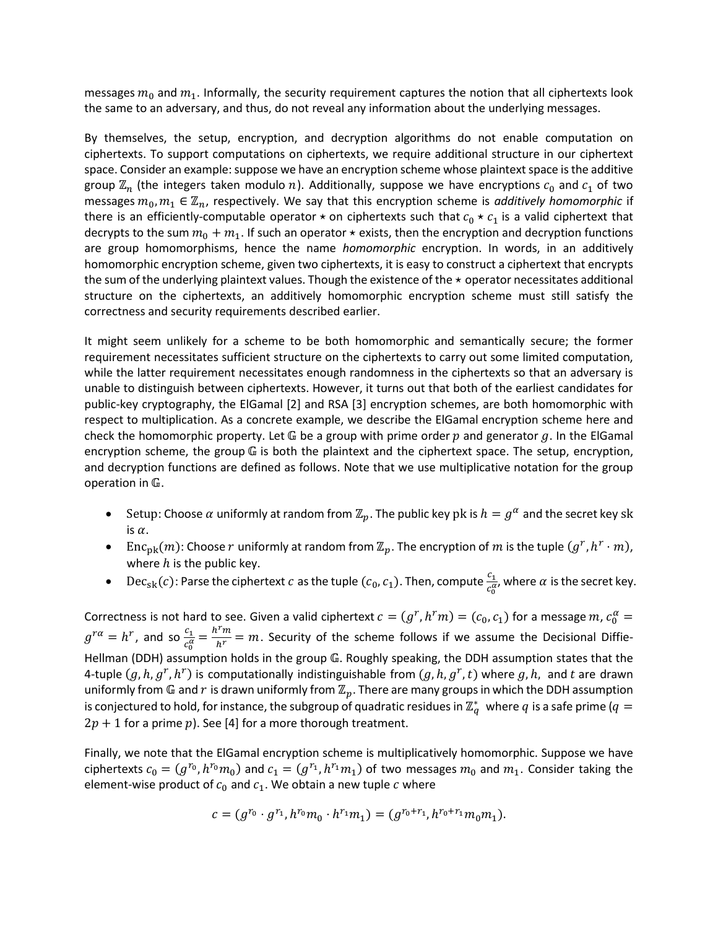messages  $m_0$  and  $m_1$ . Informally, the security requirement captures the notion that all ciphertexts look the same to an adversary, and thus, do not reveal any information about the underlying messages.

By themselves, the setup, encryption, and decryption algorithms do not enable computation on ciphertexts. To support computations on ciphertexts, we require additional structure in our ciphertext space. Consider an example: suppose we have an encryption scheme whose plaintext space is the additive group  $\mathbb{Z}_n$  (the integers taken modulo n). Additionally, suppose we have encryptions  $c_0$  and  $c_1$  of two messages  $m_0, m_1 \in \mathbb{Z}_n$ , respectively. We say that this encryption scheme is *additively homomorphic* if there is an efficiently-computable operator  $\star$  on ciphertexts such that  $c_0 \star c_1$  is a valid ciphertext that decrypts to the sum  $m_0 + m_1$ . If such an operator  $\star$  exists, then the encryption and decryption functions are group homomorphisms, hence the name *homomorphic* encryption. In words, in an additively homomorphic encryption scheme, given two ciphertexts, it is easy to construct a ciphertext that encrypts the sum of the underlying plaintext values. Though the existence of the  $\star$  operator necessitates additional structure on the ciphertexts, an additively homomorphic encryption scheme must still satisfy the correctness and security requirements described earlier.

It might seem unlikely for a scheme to be both homomorphic and semantically secure; the former requirement necessitates sufficient structure on the ciphertexts to carry out some limited computation, while the latter requirement necessitates enough randomness in the ciphertexts so that an adversary is unable to distinguish between ciphertexts. However, it turns out that both of the earliest candidates for public-key cryptography, the ElGamal [2] and RSA [3] encryption schemes, are both homomorphic with respect to multiplication. As a concrete example, we describe the ElGamal encryption scheme here and check the homomorphic property. Let  $\mathbb G$  be a group with prime order p and generator g. In the ElGamal encryption scheme, the group  $G$  is both the plaintext and the ciphertext space. The setup, encryption, and decryption functions are defined as follows. Note that we use multiplicative notation for the group operation in  $G$ .

- Setup: Choose  $\alpha$  uniformly at random from  $\mathbb{Z}_p$ . The public key pk is  $h=g^\alpha$  and the secret key sk is  $\alpha$ .
- Enc<sub>pk</sub> $(m)$ : Choose  $r$  uniformly at random from  $\mathbb{Z}_p$ . The encryption of  $m$  is the tuple  $(g^r, h^r \cdot m)$ , where  $h$  is the public key.
- De $c_{\rm sk}(c)$ : Parse the ciphertext  $c$  as the tuple  $(c_0, c_1)$ . Then, compute  $\frac{c_1}{c_0^{\alpha}}$ , where  $\alpha$  is the secret key.

Correctness is not hard to see. Given a valid ciphertext  $c = (g^r, h^r m) = (c_0, c_1)$  for a message  $m$ ,  $c_0^{\alpha} =$  $g^{r\alpha}=h^r$ , and so  $\frac{c_1}{c_0^\alpha}=\frac{h^rm}{h^r}=m$ . Security of the scheme follows if we assume the Decisional Diffie-Hellman (DDH) assumption holds in the group G. Roughly speaking, the DDH assumption states that the 4-tuple  $(g, h, g^r, h^r)$  is computationally indistinguishable from  $(g, h, g^r, t)$  where  $g, h$ , and t are drawn uniformly from  $\mathbb G$  and  $r$  is drawn uniformly from  $\mathbb Z_p$ . There are many groups in which the DDH assumption is conjectured to hold, for instance, the subgroup of quadratic residues in  $\mathbb{Z}_q^*$  where  $q$  is a safe prime ( $q=$  $2p + 1$  for a prime p). See [4] for a more thorough treatment.

Finally, we note that the ElGamal encryption scheme is multiplicatively homomorphic. Suppose we have ciphertexts  $c_0 = (g^{r_0}, h^{r_0}m_0)$  and  $c_1 = (g^{r_1}, h^{r_1}m_1)$  of two messages  $m_0$  and  $m_1$ . Consider taking the element-wise product of  $c_0$  and  $c_1$ . We obtain a new tuple  $c$  where

$$
c = (g^{r_0} \cdot g^{r_1}, h^{r_0} m_0 \cdot h^{r_1} m_1) = (g^{r_0 + r_1}, h^{r_0 + r_1} m_0 m_1).
$$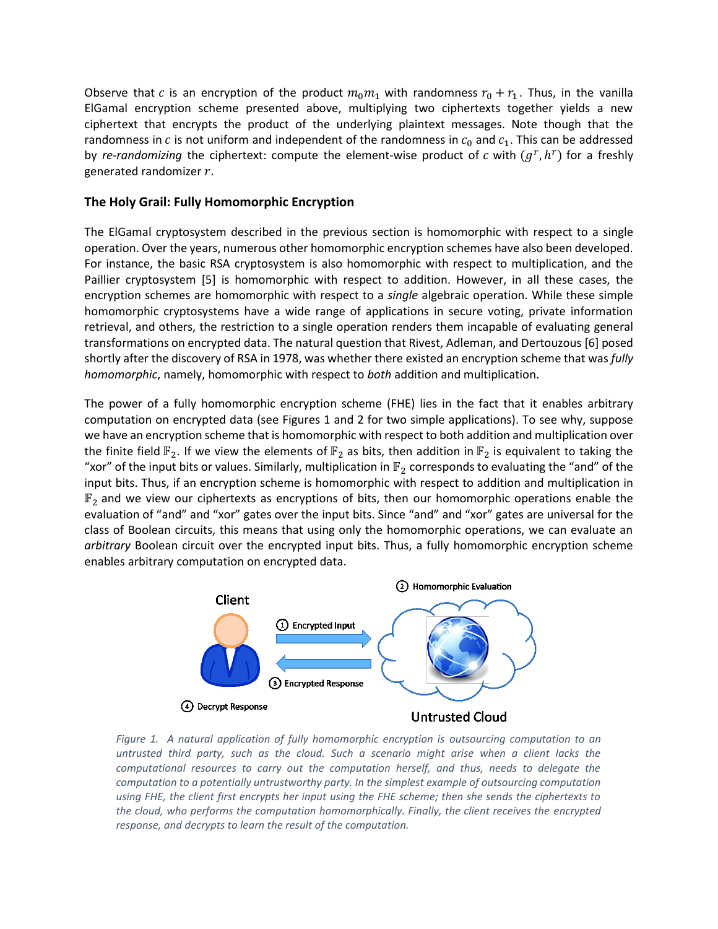Observe that c is an encryption of the product  $m_0 m_1$  with randomness  $r_0 + r_1$ . Thus, in the vanilla ElGamal encryption scheme presented above, multiplying two ciphertexts together yields a new ciphertext that encrypts the product of the underlying plaintext messages. Note though that the randomness in  $c$  is not uniform and independent of the randomness in  $c_0$  and  $c_1$ . This can be addressed by *re-randomizing* the ciphertext: compute the element-wise product of c with  $(g^r, h^r)$  for a freshly generated randomizer  $r$ .

# **The Holy Grail: Fully Homomorphic Encryption**

The ElGamal cryptosystem described in the previous section is homomorphic with respect to a single operation. Over the years, numerous other homomorphic encryption schemes have also been developed. For instance, the basic RSA cryptosystem is also homomorphic with respect to multiplication, and the Paillier cryptosystem [5] is homomorphic with respect to addition. However, in all these cases, the encryption schemes are homomorphic with respect to a *single* algebraic operation. While these simple homomorphic cryptosystems have a wide range of applications in secure voting, private information retrieval, and others, the restriction to a single operation renders them incapable of evaluating general transformations on encrypted data. The natural question that Rivest, Adleman, and Dertouzous [6] posed shortly after the discovery of RSA in 1978, was whether there existed an encryption scheme that was *fully homomorphic*, namely, homomorphic with respect to *both* addition and multiplication.

The power of a fully homomorphic encryption scheme (FHE) lies in the fact that it enables arbitrary computation on encrypted data (see Figures 1 and 2 for two simple applications). To see why, suppose we have an encryption scheme that is homomorphic with respect to both addition and multiplication over the finite field  $\mathbb{F}_2$ . If we view the elements of  $\mathbb{F}_2$  as bits, then addition in  $\mathbb{F}_2$  is equivalent to taking the "xor" of the input bits or values. Similarly, multiplication in  $\mathbb{F}_2$  corresponds to evaluating the "and" of the input bits. Thus, if an encryption scheme is homomorphic with respect to addition and multiplication in  $\mathbb{F}_2$  and we view our ciphertexts as encryptions of bits, then our homomorphic operations enable the evaluation of "and" and "xor" gates over the input bits. Since "and" and "xor" gates are universal for the class of Boolean circuits, this means that using only the homomorphic operations, we can evaluate an *arbitrary* Boolean circuit over the encrypted input bits. Thus, a fully homomorphic encryption scheme enables arbitrary computation on encrypted data.



*Figure 1. A natural application of fully homomorphic encryption is outsourcing computation to an untrusted third party, such as the cloud. Such a scenario might arise when a client lacks the computational resources to carry out the computation herself, and thus, needs to delegate the computation to a potentially untrustworthy party. In the simplest example of outsourcing computation using FHE, the client first encrypts her input using the FHE scheme; then she sends the ciphertexts to the cloud, who performs the computation homomorphically. Finally, the client receives the encrypted response, and decrypts to learn the result of the computation.*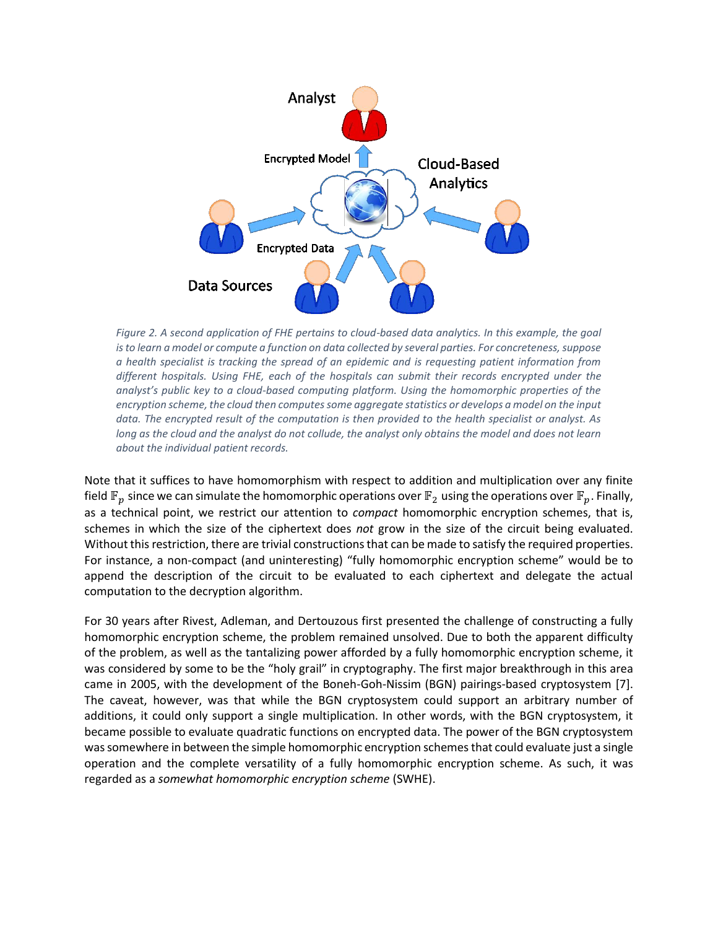

*Figure 2. A second application of FHE pertains to cloud-based data analytics. In this example, the goal is to learn a model or compute a function on data collected by several parties. For concreteness, suppose a health specialist is tracking the spread of an epidemic and is requesting patient information from different hospitals. Using FHE, each of the hospitals can submit their records encrypted under the analyst's public key to a cloud-based computing platform. Using the homomorphic properties of the encryption scheme, the cloud then computes some aggregate statistics or develops a model on the input data. The encrypted result of the computation is then provided to the health specialist or analyst. As long as the cloud and the analyst do not collude, the analyst only obtains the model and does not learn about the individual patient records.*

Note that it suffices to have homomorphism with respect to addition and multiplication over any finite field  $\mathbb{F}_p$  since we can simulate the homomorphic operations over  $\mathbb{F}_2$  using the operations over  $\mathbb{F}_p$ . Finally, as a technical point, we restrict our attention to *compact* homomorphic encryption schemes, that is, schemes in which the size of the ciphertext does *not* grow in the size of the circuit being evaluated. Without this restriction, there are trivial constructions that can be made to satisfy the required properties. For instance, a non-compact (and uninteresting) "fully homomorphic encryption scheme" would be to append the description of the circuit to be evaluated to each ciphertext and delegate the actual computation to the decryption algorithm.

For 30 years after Rivest, Adleman, and Dertouzous first presented the challenge of constructing a fully homomorphic encryption scheme, the problem remained unsolved. Due to both the apparent difficulty of the problem, as well as the tantalizing power afforded by a fully homomorphic encryption scheme, it was considered by some to be the "holy grail" in cryptography. The first major breakthrough in this area came in 2005, with the development of the Boneh-Goh-Nissim (BGN) pairings-based cryptosystem [7]. The caveat, however, was that while the BGN cryptosystem could support an arbitrary number of additions, it could only support a single multiplication. In other words, with the BGN cryptosystem, it became possible to evaluate quadratic functions on encrypted data. The power of the BGN cryptosystem was somewhere in between the simple homomorphic encryption schemes that could evaluate just a single operation and the complete versatility of a fully homomorphic encryption scheme. As such, it was regarded as a *somewhat homomorphic encryption scheme* (SWHE).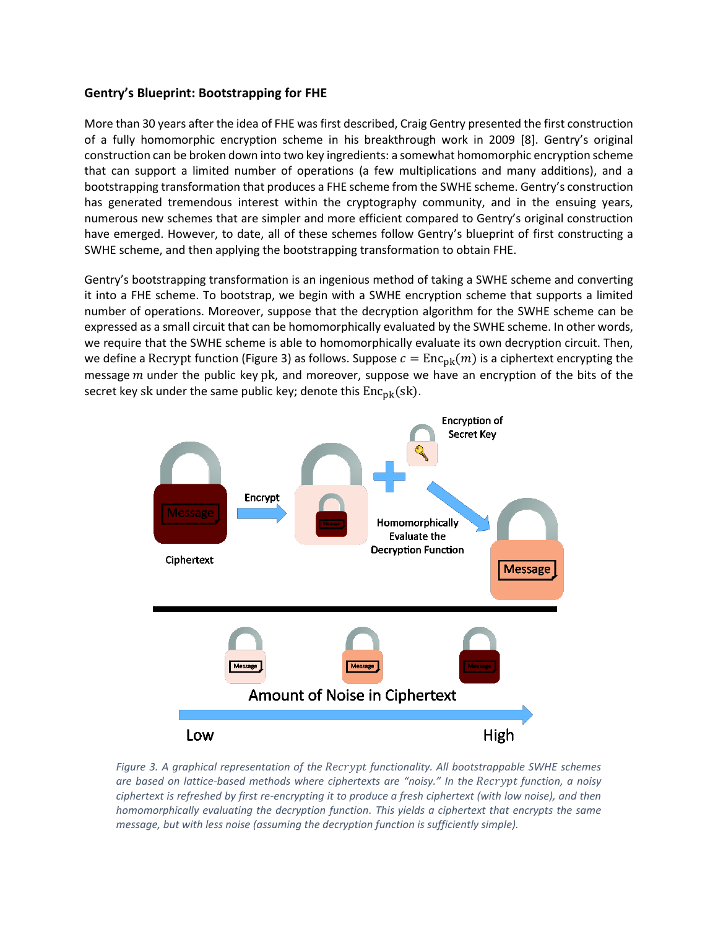# **Gentry's Blueprint: Bootstrapping for FHE**

More than 30 years after the idea of FHE was first described, Craig Gentry presented the first construction of a fully homomorphic encryption scheme in his breakthrough work in 2009 [8]. Gentry's original construction can be broken down into two key ingredients: a somewhat homomorphic encryption scheme that can support a limited number of operations (a few multiplications and many additions), and a bootstrapping transformation that produces a FHE scheme from the SWHE scheme. Gentry's construction has generated tremendous interest within the cryptography community, and in the ensuing years, numerous new schemes that are simpler and more efficient compared to Gentry's original construction have emerged. However, to date, all of these schemes follow Gentry's blueprint of first constructing a SWHE scheme, and then applying the bootstrapping transformation to obtain FHE.

Gentry's bootstrapping transformation is an ingenious method of taking a SWHE scheme and converting it into a FHE scheme. To bootstrap, we begin with a SWHE encryption scheme that supports a limited number of operations. Moreover, suppose that the decryption algorithm for the SWHE scheme can be expressed as a small circuit that can be homomorphically evaluated by the SWHE scheme. In other words, we require that the SWHE scheme is able to homomorphically evaluate its own decryption circuit. Then, we define a Recrypt function (Figure 3) as follows. Suppose  $c = \text{Enc}_{\text{nk}}(m)$  is a ciphertext encrypting the message  $m$  under the public key pk, and moreover, suppose we have an encryption of the bits of the secret key sk under the same public key; denote this  $Enc_{pk}(sk)$ .



*Figure 3. A graphical representation of the functionality. All bootstrappable SWHE schemes are based on lattice-based methods where ciphertexts are "noisy." In the function, a noisy ciphertext is refreshed by first re-encrypting it to produce a fresh ciphertext (with low noise), and then homomorphically evaluating the decryption function. This yields a ciphertext that encrypts the same message, but with less noise (assuming the decryption function is sufficiently simple).*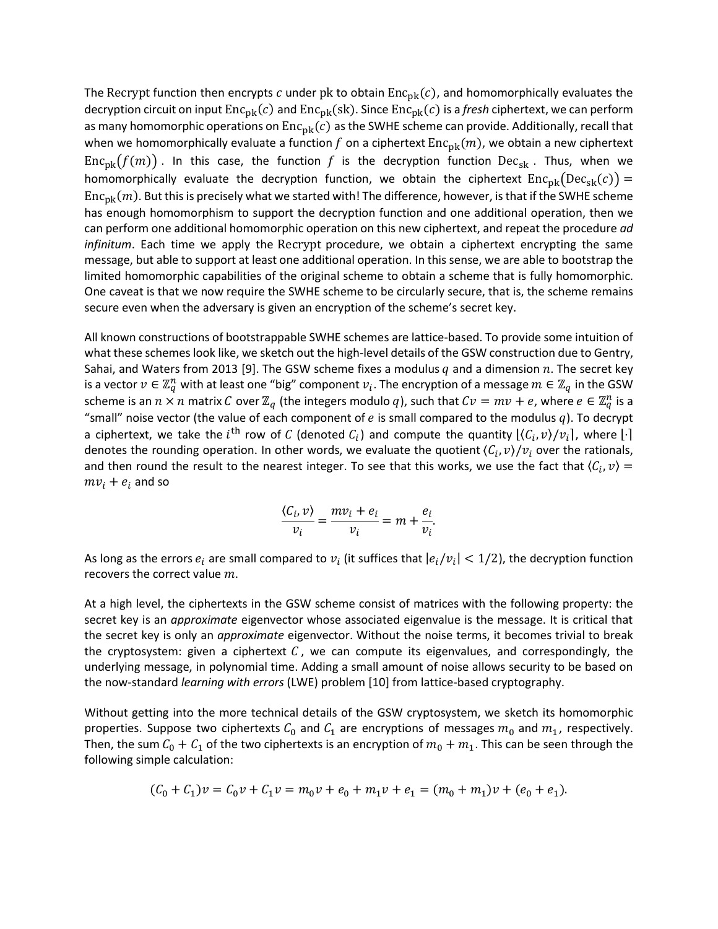The Recrypt function then encrypts c under pk to obtain  $Enc_{pk}(c)$ , and homomorphically evaluates the decryption circuit on input  $Enc_{pk}(c)$  and  $Enc_{pk}(sk)$ . Since  $Enc_{pk}(c)$  is a *fresh* ciphertext, we can perform as many homomorphic operations on  $Enc_{nk}(c)$  as the SWHE scheme can provide. Additionally, recall that when we homomorphically evaluate a function f on a ciphertext  $Enc_{pk}(m)$ , we obtain a new ciphertext  $Enc_{pk}(f(m))$ . In this case, the function f is the decryption function  $Dec_{sk}$ . Thus, when we homomorphically evaluate the decryption function, we obtain the ciphertext  $Enc_{pk}(Dec_{sk}(c)) =$  $Enc_{nk}(m)$ . But this is precisely what we started with! The difference, however, is that if the SWHE scheme has enough homomorphism to support the decryption function and one additional operation, then we can perform one additional homomorphic operation on this new ciphertext, and repeat the procedure *ad infinitum*. Each time we apply the Recrypt procedure, we obtain a ciphertext encrypting the same message, but able to support at least one additional operation. In this sense, we are able to bootstrap the limited homomorphic capabilities of the original scheme to obtain a scheme that is fully homomorphic. One caveat is that we now require the SWHE scheme to be circularly secure, that is, the scheme remains secure even when the adversary is given an encryption of the scheme's secret key.

All known constructions of bootstrappable SWHE schemes are lattice-based. To provide some intuition of what these schemes look like, we sketch out the high-level details of the GSW construction due to Gentry, Sahai, and Waters from 2013 [9]. The GSW scheme fixes a modulus  $q$  and a dimension  $n$ . The secret key is a vector  $v\in\mathbb{Z}_q^n$  with at least one "big" component  $v_i.$  The encryption of a message  $m\in\mathbb{Z}_q$  in the GSW scheme is an  $n \times n$  matrix  $C$  over  $\mathbb{Z}_q$  (the integers modulo  $q$ ), such that  $Cv = m v + e$ , where  $e \in \mathbb{Z}_q^n$  is a "small" noise vector (the value of each component of  $e$  is small compared to the modulus  $q$ ). To decrypt a ciphertext, we take the  $i^{\text{th}}$  row of  ${\cal C}$  (denoted  ${\cal C}_i$ ) and compute the quantity  $[\langle {\cal C}_i, v \rangle /v_i]$ , where  $[\cdot]$ denotes the rounding operation. In other words, we evaluate the quotient  $\langle C_i, v \rangle/v_i$  over the rationals, and then round the result to the nearest integer. To see that this works, we use the fact that  $\langle C_i, \nu \rangle =$  $mv_i + e_i$  and so

$$
\frac{\langle C_i, v \rangle}{v_i} = \frac{m v_i + e_i}{v_i} = m + \frac{e_i}{v_i}.
$$

As long as the errors  $e_i$  are small compared to  $v_i$  (it suffices that  $|e_i/v_i| < 1/2$ ), the decryption function recovers the correct value  $m$ .

At a high level, the ciphertexts in the GSW scheme consist of matrices with the following property: the secret key is an *approximate* eigenvector whose associated eigenvalue is the message. It is critical that the secret key is only an *approximate* eigenvector. Without the noise terms, it becomes trivial to break the cryptosystem: given a ciphertext  $C$ , we can compute its eigenvalues, and correspondingly, the underlying message, in polynomial time. Adding a small amount of noise allows security to be based on the now-standard *learning with errors* (LWE) problem [10] from lattice-based cryptography.

Without getting into the more technical details of the GSW cryptosystem, we sketch its homomorphic properties. Suppose two ciphertexts  $C_0$  and  $C_1$  are encryptions of messages  $m_0$  and  $m_1$ , respectively. Then, the sum  $C_0 + C_1$  of the two ciphertexts is an encryption of  $m_0 + m_1$ . This can be seen through the following simple calculation:

$$
(C_0 + C_1)v = C_0v + C_1v = m_0v + e_0 + m_1v + e_1 = (m_0 + m_1)v + (e_0 + e_1).
$$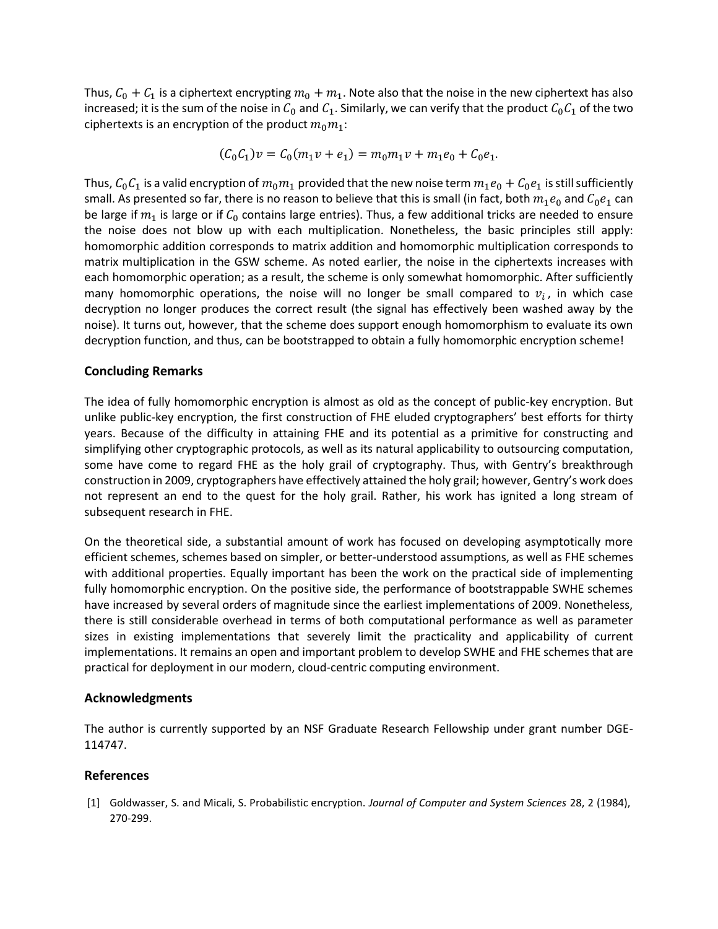Thus,  $C_0 + C_1$  is a ciphertext encrypting  $m_0 + m_1$ . Note also that the noise in the new ciphertext has also increased; it is the sum of the noise in  $C_0$  and  $C_1$ . Similarly, we can verify that the product  $C_0 C_1$  of the two ciphertexts is an encryption of the product  $m_0m_1$ :

$$
(C_0C_1)v = C_0(m_1v + e_1) = m_0m_1v + m_1e_0 + C_0e_1.
$$

Thus,  $C_0C_1$  is a valid encryption of  $m_0m_1$  provided that the new noise term  $m_1e_0 + C_0e_1$  is still sufficiently small. As presented so far, there is no reason to believe that this is small (in fact, both  $m_1 e_0$  and  $C_0 e_1$  can be large if  $m_1$  is large or if  $C_0$  contains large entries). Thus, a few additional tricks are needed to ensure the noise does not blow up with each multiplication. Nonetheless, the basic principles still apply: homomorphic addition corresponds to matrix addition and homomorphic multiplication corresponds to matrix multiplication in the GSW scheme. As noted earlier, the noise in the ciphertexts increases with each homomorphic operation; as a result, the scheme is only somewhat homomorphic. After sufficiently many homomorphic operations, the noise will no longer be small compared to  $v_i$ , in which case decryption no longer produces the correct result (the signal has effectively been washed away by the noise). It turns out, however, that the scheme does support enough homomorphism to evaluate its own decryption function, and thus, can be bootstrapped to obtain a fully homomorphic encryption scheme!

# **Concluding Remarks**

The idea of fully homomorphic encryption is almost as old as the concept of public-key encryption. But unlike public-key encryption, the first construction of FHE eluded cryptographers' best efforts for thirty years. Because of the difficulty in attaining FHE and its potential as a primitive for constructing and simplifying other cryptographic protocols, as well as its natural applicability to outsourcing computation, some have come to regard FHE as the holy grail of cryptography. Thus, with Gentry's breakthrough construction in 2009, cryptographers have effectively attained the holy grail; however, Gentry's work does not represent an end to the quest for the holy grail. Rather, his work has ignited a long stream of subsequent research in FHE.

On the theoretical side, a substantial amount of work has focused on developing asymptotically more efficient schemes, schemes based on simpler, or better-understood assumptions, as well as FHE schemes with additional properties. Equally important has been the work on the practical side of implementing fully homomorphic encryption. On the positive side, the performance of bootstrappable SWHE schemes have increased by several orders of magnitude since the earliest implementations of 2009. Nonetheless, there is still considerable overhead in terms of both computational performance as well as parameter sizes in existing implementations that severely limit the practicality and applicability of current implementations. It remains an open and important problem to develop SWHE and FHE schemes that are practical for deployment in our modern, cloud-centric computing environment.

# **Acknowledgments**

The author is currently supported by an NSF Graduate Research Fellowship under grant number DGE-114747.

# **References**

[1] Goldwasser, S. and Micali, S. Probabilistic encryption. *Journal of Computer and System Sciences* 28, 2 (1984), 270-299.